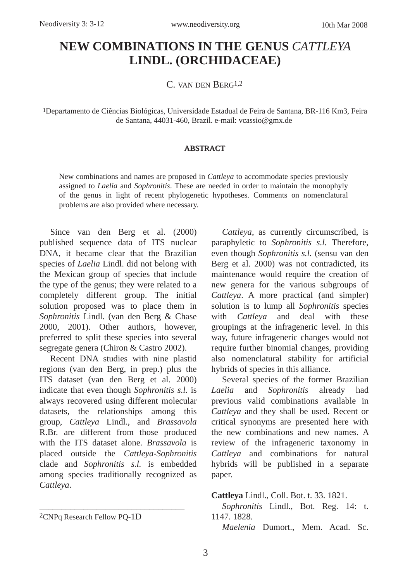# **NEW COMBINATIONS IN THE GENUS** *CATTLEYA* **LINDL. (ORCHIDACEAE)**

C. VAN DEN BERG1,2

1Departamento de Ciências Biológicas, Universidade Estadual de Feira de Santana, BR-116 Km3, Feira de Santana, 44031-460, Brazil. e-mail: vcassio@gmx.de

### ABSTRACT

New combinations and names are proposed in *Cattleya* to accommodate species previously assigned to *Laelia* and *Sophronitis*. These are needed in order to maintain the monophyly of the genus in light of recent phylogenetic hypotheses. Comments on nomenclatural problems are also provided where necessary.

Since van den Berg et al. (2000) published sequence data of ITS nuclear DNA, it became clear that the Brazilian species of *Laelia* Lindl. did not belong with the Mexican group of species that include the type of the genus; they were related to a completely different group. The initial solution proposed was to place them in *Sophronitis* Lindl. (van den Berg & Chase 2000, 2001). Other authors, however, preferred to split these species into several segregate genera (Chiron & Castro 2002).

Recent DNA studies with nine plastid regions (van den Berg, in prep.) plus the ITS dataset (van den Berg et al. 2000) indicate that even though *Sophronitis s.l.* is always recovered using different molecular datasets, the relationships among this group, *Cattleya* Lindl., and *Brassavola* R.Br. are different from those produced with the ITS dataset alone. *Brassavola* is placed outside the *Cattleya-Sophronitis* clade and *Sophronitis s.l.* is embedded among species traditionally recognized as *Cattleya*.

\_\_\_\_\_\_\_\_\_\_\_\_\_\_\_\_\_\_\_\_\_\_\_\_\_\_\_\_\_\_\_\_\_

*Cattleya*, as currently circumscribed, is paraphyletic to *Sophronitis s.l.* Therefore, even though *Sophronitis s.l.* (sensu van den Berg et al. 2000) was not contradicted, its maintenance would require the creation of new genera for the various subgroups of *Cattleya*. A more practical (and simpler) solution is to lump all *Sophronitis* species with *Cattleya* and deal with these groupings at the infrageneric level. In this way, future infrageneric changes would not require further binomial changes, providing also nomenclatural stability for artificial hybrids of species in this alliance.

Several species of the former Brazilian *Laelia* and *Sophronitis* already had previous valid combinations available in *Cattleya* and they shall be used. Recent or critical synonyms are presented here with the new combinations and new names. A review of the infrageneric taxonomy in *Cattleya* and combinations for natural hybrids will be published in a separate paper.

**Cattleya** Lindl., Coll. Bot. t. 33. 1821.

*Sophronitis* Lindl., Bot. Reg. 14: t. 1147. 1828.

*Maelenia* Dumort., Mem. Acad. Sc.

<sup>2</sup>CNPq Research Fellow PQ-1D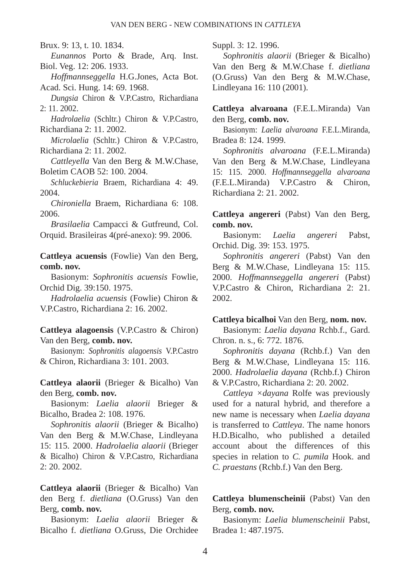Brux. 9: 13, t. 10. 1834.

*Eunannos* Porto & Brade, Arq. Inst. Biol. Veg. 12: 206. 1933.

*Hoffmannseggella* H.G.Jones, Acta Bot. Acad. Sci. Hung. 14: 69. 1968.

*Dungsia* Chiron & V.P.Castro, Richardiana 2: 11. 2002.

*Hadrolaelia* (Schltr.) Chiron & V.P.Castro, Richardiana 2: 11. 2002.

*Microlaelia* (Schltr.) Chiron & V.P.Castro, Richardiana 2: 11. 2002.

*Cattleyella* Van den Berg & M.W.Chase, Boletim CAOB 52: 100. 2004.

*Schluckebieria* Braem, Richardiana 4: 49. 2004.

*Chironiella* Braem, Richardiana 6: 108. 2006.

*Brasilaelia* Campacci & Gutfreund, Col. Orquid. Brasileiras 4(pré-anexo): 99. 2006.

**Cattleya acuensis** (Fowlie) Van den Berg, **comb. nov.**

Basionym: *Sophronitis acuensis* Fowlie, Orchid Dig. 39:150. 1975.

*Hadrolaelia acuensis* (Fowlie) Chiron & V.P.Castro, Richardiana 2: 16. 2002.

**Cattleya alagoensis** (V.P.Castro & Chiron) Van den Berg, **comb. nov.**

Basionym: *Sophronitis alagoensis* V.P.Castro & Chiron, Richardiana 3: 101. 2003.

**Cattleya alaorii** (Brieger & Bicalho) Van den Berg, **comb. nov.**

Basionym: *Laelia alaorii* Brieger & Bicalho, Bradea 2: 108. 1976.

*Sophronitis alaorii* (Brieger & Bicalho) Van den Berg & M.W.Chase, Lindleyana 15: 115. 2000. *Hadrolaelia alaorii* (Brieger & Bicalho) Chiron & V.P.Castro, Richardiana 2: 20. 2002.

**Cattleya alaorii** (Brieger & Bicalho) Van den Berg f. *dietliana* (O.Gruss) Van den Berg, **comb. nov.**

Basionym: *Laelia alaorii* Brieger & Bicalho f. *dietliana* O.Gruss, Die Orchidee Suppl. 3: 12. 1996.

*Sophronitis alaorii* (Brieger & Bicalho) Van den Berg & M.W.Chase f. *dietliana* (O.Gruss) Van den Berg & M.W.Chase, Lindleyana 16: 110 (2001).

**Cattleya alvaroana** (F.E.L.Miranda) Van den Berg, **comb. nov.**

Basionym: *Laelia alvaroana* F.E.L.Miranda, Bradea 8: 124. 1999.

*Sophronitis alvaroana* (F.E.L.Miranda) Van den Berg & M.W.Chase, Lindleyana 15: 115. 2000. *Hoffmannseggella alvaroana* (F.E.L.Miranda) V.P.Castro & Chiron, Richardiana 2: 21. 2002.

**Cattleya angereri** (Pabst) Van den Berg, **comb. nov.**

Basionym: *Laelia angereri* Pabst, Orchid. Dig. 39: 153. 1975.

*Sophronitis angereri* (Pabst) Van den Berg & M.W.Chase, Lindleyana 15: 115. 2000. *Hoffmannseggella angereri* (Pabst) V.P.Castro & Chiron, Richardiana 2: 21. 2002.

#### **Cattleya bicalhoi** Van den Berg, **nom. nov.**

Basionym: *Laelia dayana* Rchb.f., Gard. Chron. n. s., 6: 772. 1876.

*Sophronitis dayana* (Rchb.f.) Van den Berg & M.W.Chase, Lindleyana 15: 116. 2000. *Hadrolaelia dayana* (Rchb.f.) Chiron & V.P.Castro, Richardiana 2: 20. 2002.

*Cattleya ×dayana* Rolfe was previously used for a natural hybrid, and therefore a new name is necessary when *Laelia dayana* is transferred to *Cattleya*. The name honors H.D.Bicalho, who published a detailed account about the differences of this species in relation to *C. pumila* Hook. and *C. praestans* (Rchb.f.) Van den Berg.

## **Cattleya blumenscheinii** (Pabst) Van den Berg, **comb. nov.**

Basionym: *Laelia blumenscheinii* Pabst, Bradea 1: 487.1975.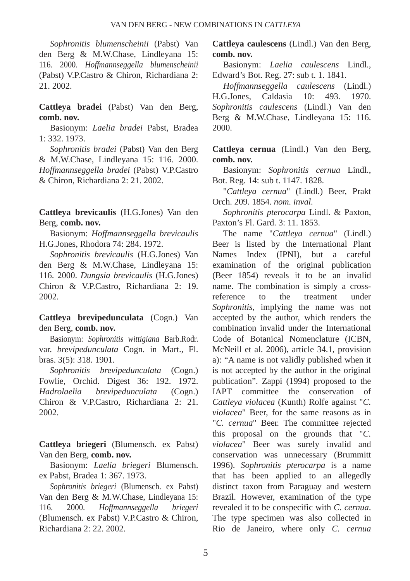*Sophronitis blumenscheinii* (Pabst) Van den Berg & M.W.Chase, Lindleyana 15: 116. 2000. *Hoffmannseggella blumenscheinii* (Pabst) V.P.Castro & Chiron, Richardiana 2: 21. 2002.

**Cattleya bradei** (Pabst) Van den Berg, **comb. nov.**

Basionym: *Laelia bradei* Pabst, Bradea 1: 332. 1973.

*Sophronitis bradei* (Pabst) Van den Berg & M.W.Chase, Lindleyana 15: 116. 2000. *Hoffmannseggella bradei* (Pabst) V.P.Castro & Chiron, Richardiana 2: 21. 2002.

**Cattleya brevicaulis** (H.G.Jones) Van den Berg, **comb. nov.**

Basionym: *Hoffmannseggella brevicaulis* H.G.Jones, Rhodora 74: 284. 1972.

*Sophronitis brevicaulis* (H.G.Jones) Van den Berg & M.W.Chase, Lindleyana 15: 116. 2000. *Dungsia brevicaulis* (H.G.Jones) Chiron & V.P.Castro, Richardiana 2: 19. 2002.

**Cattleya brevipedunculata** (Cogn.) Van den Berg, **comb. nov.**

Basionym: *Sophronitis wittigiana* Barb.Rodr. var. *brevipedunculata* Cogn. in Mart., Fl. bras. 3(5): 318. 1901.

*Sophronitis brevipedunculata* (Cogn.) Fowlie, Orchid. Digest 36: 192. 1972. *Hadrolaelia brevipedunculata* (Cogn.) Chiron & V.P.Castro, Richardiana 2: 21. 2002.

**Cattleya briegeri** (Blumensch. ex Pabst) Van den Berg, **comb. nov.**

Basionym: *Laelia briegeri* Blumensch. ex Pabst, Bradea 1: 367. 1973.

*Sophronitis briegeri* (Blumensch. ex Pabst) Van den Berg & M.W.Chase, Lindleyana 15: 116. 2000. *Hoffmannseggella briegeri* (Blumensch. ex Pabst) V.P.Castro & Chiron, Richardiana 2: 22. 2002.

**Cattleya caulescens** (Lindl.) Van den Berg, **comb. nov.**

Basionym: *Laelia caulescens* Lindl., Edward's Bot. Reg. 27: sub t. 1. 1841.

*Hoffmannseggella caulescens* (Lindl.) H.G.Jones, Caldasia 10: 493. 1970. *Sophronitis caulescens* (Lindl.) Van den Berg & M.W.Chase, Lindleyana 15: 116. 2000.

**Cattleya cernua** (Lindl.) Van den Berg, **comb. nov.**

Basionym: *Sophronitis cernua* Lindl., Bot. Reg. 14: sub t. 1147. 1828.

"*Cattleya cernua*" (Lindl.) Beer, Prakt Orch. 209. 1854. *nom. inval.*

*Sophronitis pterocarpa* Lindl. & Paxton, Paxton's Fl. Gard. 3: 11. 1853.

The name "*Cattleya cernua*" (Lindl.) Beer is listed by the International Plant Names Index (IPNI), but a careful examination of the original publication (Beer 1854) reveals it to be an invalid name. The combination is simply a crossreference to the treatment under *Sophronitis*, implying the name was not accepted by the author, which renders the combination invalid under the International Code of Botanical Nomenclature (ICBN, McNeill et al. 2006), article 34.1, provision a): "A name is not validly published when it is not accepted by the author in the original publication". Zappi (1994) proposed to the IAPT committee the conservation of *Cattleya violacea* (Kunth) Rolfe against "*C. violacea*" Beer, for the same reasons as in "*C. cernua*" Beer*.* The committee rejected this proposal on the grounds that "*C. violacea*" Beer was surely invalid and conservation was unnecessary (Brummitt 1996). *Sophronitis pterocarpa* is a name that has been applied to an allegedly distinct taxon from Paraguay and western Brazil. However, examination of the type revealed it to be conspecific with *C. cernua*. The type specimen was also collected in Rio de Janeiro, where only *C. cernua*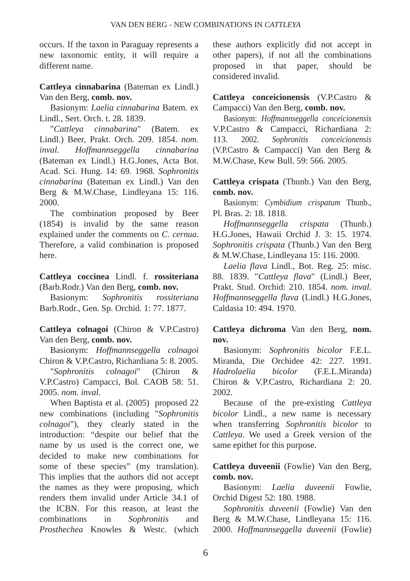occurs. If the taxon in Paraguay represents a new taxonomic entity, it will require a different name.

**Cattleya cinnabarina** (Bateman ex Lindl.) Van den Berg, **comb. nov.**

Basionym: *Laelia cinnabarina* Batem. ex Lindl., Sert. Orch. t. 28. 1839.

"*Cattleya cinnabarina*" (Batem. ex Lindl.) Beer, Prakt. Orch. 209. 1854. *nom. inval. Hoffmannseggella cinnabarina* (Bateman ex Lindl.) H.G.Jones, Acta Bot. Acad. Sci. Hung. 14: 69. 1968. *Sophronitis cinnabarina* (Bateman ex Lindl.) Van den Berg & M.W.Chase, Lindleyana 15: 116. 2000.

The combination proposed by Beer (1854) is invalid by the same reason explained under the comments on *C*. *cernua*. Therefore, a valid combination is proposed here.

**Cattleya coccinea** Lindl. f. **rossiteriana** (Barb.Rodr.) Van den Berg, **comb. nov.**

Basionym: *Sophronitis rossiteriana* Barb.Rodr., Gen. Sp. Orchid. 1: 77. 1877.

**Cattleya colnagoi** (Chiron & V.P.Castro) Van den Berg, **comb. nov.**

Basionym: *Hoffmannseggella colnagoi* Chiron & V.P.Castro, Richardiana 5: 8. 2005.

"*Sophronitis colnagoi*" (Chiron & V.P.Castro) Campacci, Bol. CAOB 58: 51. 2005. *nom. inval.*

When Baptista et al. (2005) proposed 22 new combinations (including "*Sophronitis colnagoi*"), they clearly stated in the introduction: "despite our belief that the name by us used is the correct one, we decided to make new combinations for some of these species" (my translation). This implies that the authors did not accept the names as they were proposing, which renders them invalid under Article 34.1 of the ICBN. For this reason, at least the combinations in *Sophronitis* and *Prosthechea* Knowles & Westc. (which these authors explicitly did not accept in other papers), if not all the combinations proposed in that paper, should be considered invalid.

**Cattleya conceicionensis** (V.P.Castro & Campacci) Van den Berg, **comb. nov.**

Basionym: *Hof mannseggella conceicionensis* V.P.Castro & Campacci, Richardiana 2: 113. 2002. *Sophronitis conceicionensis* (V.P.Castro & Campacci) Van den Berg & M.W.Chase, Kew Bull. 59: 566. 2005.

**Cattleya crispata** (Thunb.) Van den Berg, **comb. nov.**

Basionym: *Cymbidium crispatum* Thunb., Pl. Bras. 2: 18. 1818.

*Hoffmannseggella crispata* (Thunb.) H.G.Jones, Hawaii Orchid J. 3: 15. 1974. *Sophronitis crispata* (Thunb.) Van den Berg & M.W.Chase, Lindleyana 15: 116. 2000.

*Laelia flava* Lindl., Bot. Reg. 25: misc. 88. 1839. "*Cattleya flava*" (Lindl.) Beer, Prakt. Stud. Orchid: 210. 1854. *nom. inval*. *Hoffmannseggella flava* (Lindl.) H.G.Jones, Caldasia 10: 494. 1970.

# **Cattleya dichroma** Van den Berg, **nom. nov.**

Basionym: *Sophronitis bicolor* F.E.L. Miranda, Die Orchidee 42: 227. 1991. *Hadrolaelia bicolor* (F.E.L.Miranda) Chiron & V.P.Castro, Richardiana 2: 20. 2002.

Because of the pre-existing *Cattleya bicolor* Lindl., a new name is necessary when transferring *Sophronitis bicolor* to *Cattleya*. We used a Greek version of the same epithet for this purpose.

**Cattleya duveenii** (Fowlie) Van den Berg, **comb. nov.**

Basionym: *Laelia duveenii* Fowlie, Orchid Digest 52: 180. 1988.

*Sophronitis duveenii* (Fowlie) Van den Berg & M.W.Chase, Lindleyana 15: 116. 2000. *Hoffmannseggella duveenii* (Fowlie)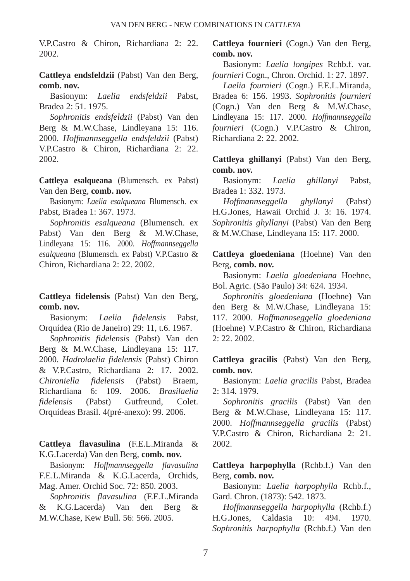V.P.Castro & Chiron, Richardiana 2: 22. 2002.

**Cattleya endsfeldzii** (Pabst) Van den Berg, **comb. nov.**

Basionym: *Laelia endsfeldzii* Pabst, Bradea 2: 51. 1975.

*Sophronitis endsfeldzii* (Pabst) Van den Berg & M.W.Chase, Lindleyana 15: 116. 2000. *Hoffmannseggella endsfeldzii* (Pabst) V.P.Castro & Chiron, Richardiana 2: 22. 2002.

**Cattleya esalqueana** (Blumensch. ex Pabst) Van den Berg, **comb. nov.**

Basionym: *Laelia esalqueana* Blumensch. ex Pabst, Bradea 1: 367. 1973.

*Sophronitis esalqueana* (Blumensch. ex Pabst) Van den Berg & M.W.Chase, Lindleyana 15: 116. 2000. *Hof mannseggella esalqueana* (Blumensch. ex Pabst) V.P.Castro & Chiron, Richardiana 2: 22. 2002.

**Cattleya fidelensis** (Pabst) Van den Berg, **comb. nov.**

Basionym: *Laelia fidelensis* Pabst, Orquídea (Rio de Janeiro) 29: 11, t.6. 1967.

*Sophronitis fidelensis* (Pabst) Van den Berg & M.W.Chase, Lindleyana 15: 117. 2000. *Hadrolaelia fidelensis* (Pabst) Chiron & V.P.Castro, Richardiana 2: 17. 2002. *Chironiella fidelensis* (Pabst) Braem, Richardiana 6: 109. 2006. *Brasilaelia fidelensis* (Pabst) Gutfreund, Colet. Orquídeas Brasil. 4(pré-anexo): 99. 2006.

**Cattleya flavasulina** (F.E.L.Miranda & K.G.Lacerda) Van den Berg, **comb. nov.**

Basionym: *Hoffmannseggella flavasulina* F.E.L.Miranda & K.G.Lacerda, Orchids, Mag. Amer. Orchid Soc. 72: 850. 2003.

*Sophronitis flavasulina* (F.E.L.Miranda & K.G.Lacerda) Van den Berg & M.W.Chase, Kew Bull. 56: 566. 2005.

**Cattleya fournieri** (Cogn.) Van den Berg, **comb. nov.**

Basionym: *Laelia longipes* Rchb.f. var. *fournieri* Cogn., Chron. Orchid. 1: 27. 1897.

*Laelia fournieri* (Cogn.) F.E.L.Miranda, Bradea 6: 156. 1993. *Sophronitis fournieri* (Cogn.) Van den Berg & M.W.Chase, Lindleyana 15: 117. 2000. *Hoffmannseggella fournieri* (Cogn.) V.P.Castro & Chiron, Richardiana 2: 22. 2002.

**Cattleya ghillanyi** (Pabst) Van den Berg, **comb. nov.**

Basionym: *Laelia ghillanyi* Pabst, Bradea 1: 332. 1973.

*Hoffmannseggella ghyllanyi* (Pabst) H.G.Jones, Hawaii Orchid J. 3: 16. 1974. *Sophronitis ghyllanyi* (Pabst) Van den Berg & M.W.Chase, Lindleyana 15: 117. 2000.

**Cattleya gloedeniana** (Hoehne) Van den Berg, **comb. nov.**

Basionym: *Laelia gloedeniana* Hoehne, Bol. Agric. (São Paulo) 34: 624. 1934.

*Sophronitis gloedeniana* (Hoehne) Van den Berg & M.W.Chase, Lindleyana 15: 117. 2000. *Hoffmannseggella gloedeniana* (Hoehne) V.P.Castro & Chiron, Richardiana 2: 22. 2002.

**Cattleya gracilis** (Pabst) Van den Berg, **comb. nov.**

Basionym: *Laelia gracilis* Pabst, Bradea 2: 314. 1979.

*Sophronitis gracilis* (Pabst) Van den Berg & M.W.Chase, Lindleyana 15: 117. 2000. *Hoffmannseggella gracilis* (Pabst) V.P.Castro & Chiron, Richardiana 2: 21. 2002.

**Cattleya harpophylla** (Rchb.f.) Van den Berg, **comb. nov.**

Basionym: *Laelia harpophylla* Rchb.f., Gard. Chron. (1873): 542. 1873.

*Hoffmannseggella harpophylla* (Rchb.f.) H.G.Jones, Caldasia 10: 494. 1970. *Sophronitis harpophylla* (Rchb.f.) Van den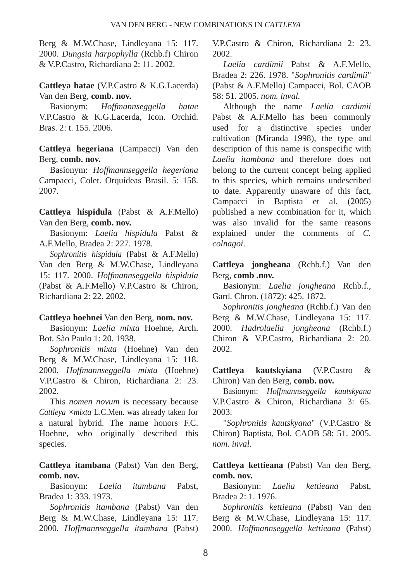Berg & M.W.Chase, Lindleyana 15: 117. 2000. *Dungsia harpophylla* (Rchb.f) Chiron & V.P.Castro, Richardiana 2: 11. 2002.

## **Cattleya hatae** (V.P.Castro & K.G.Lacerda) Van den Berg, **comb. nov.**

Basionym: *Hoffmannseggella hatae* V.P.Castro & K.G.Lacerda, Icon. Orchid. Bras. 2: t. 155. 2006.

**Cattleya hegeriana** (Campacci) Van den Berg, **comb. nov.**

Basionym: *Hoffmannseggella hegeriana* Campacci, Colet. Orquídeas Brasil. 5: 158. 2007.

**Cattleya hispidula** (Pabst & A.F.Mello) Van den Berg, **comb. nov.**

Basionym: *Laelia hispidula* Pabst & A.F.Mello, Bradea 2: 227. 1978.

*Sophronitis hispidula* (Pabst & A.F.Mello) Van den Berg & M.W.Chase, Lindleyana 15: 117. 2000. *Hoffmannseggella hispidula* (Pabst & A.F.Mello) V.P.Castro & Chiron, Richardiana 2: 22. 2002.

## **Cattleya hoehnei** Van den Berg, **nom. nov.**

Basionym: *Laelia mixta* Hoehne, Arch. Bot. São Paulo 1: 20. 1938.

*Sophronitis mixta* (Hoehne) Van den Berg & M.W.Chase, Lindleyana 15: 118. 2000. *Hoffmannseggella mixta* (Hoehne) V.P.Castro & Chiron, Richardiana 2: 23. 2002.

This *nomen novum* is necessary because *Cattleya ×mixta* L.C.Men. was already taken for a natural hybrid. The name honors F.C. Hoehne, who originally described this species.

**Cattleya itambana** (Pabst) Van den Berg, **comb. nov.**

Basionym: *Laelia itambana* Pabst, Bradea 1: 333. 1973.

*Sophronitis itambana* (Pabst) Van den Berg & M.W.Chase, Lindleyana 15: 117. 2000. *Hoffmannseggella itambana* (Pabst) V.P.Castro & Chiron, Richardiana 2: 23. 2002.

*Laelia cardimii* Pabst & A.F.Mello, Bradea 2: 226. 1978. "*Sophronitis cardimii*" (Pabst & A.F.Mello) Campacci, Bol. CAOB 58: 51. 2005. *nom. inval.*

Although the name *Laelia cardimii* Pabst & A.F.Mello has been commonly used for a distinctive species under cultivation (Miranda 1998), the type and description of this name is conspecific with *Laelia itambana* and therefore does not belong to the current concept being applied to this species, which remains undescribed to date. Apparently unaware of this fact, Campacci in Baptista et al. (2005) published a new combination for it, which was also invalid for the same reasons explained under the comments of *C. colnagoi*.

**Cattleya jongheana** (Rchb.f.) Van den Berg, **comb .nov.**

Basionym: *Laelia jongheana* Rchb.f., Gard. Chron. (1872): 425. 1872.

*Sophronitis jongheana* (Rchb.f.) Van den Berg & M.W.Chase, Lindleyana 15: 117. 2000. *Hadrolaelia jongheana* (Rchb.f.) Chiron & V.P.Castro, Richardiana 2: 20. 2002.

**Cattleya kautskyiana** (V.P.Castro & Chiron) Van den Berg, **comb. nov.**

Basionym: *Hoffmannseggella kautskyana* V.P.Castro & Chiron, Richardiana 3: 65. 2003.

"*Sophronitis kautskyana*" (V.P.Castro & Chiron) Baptista, Bol. CAOB 58: 51. 2005. *nom. inval.*

**Cattleya kettieana** (Pabst) Van den Berg, **comb. nov.**

Basionym: *Laelia kettieana* Pabst, Bradea 2: 1. 1976.

*Sophronitis kettieana* (Pabst) Van den Berg & M.W.Chase, Lindleyana 15: 117. 2000. *Hoffmannseggella kettieana* (Pabst)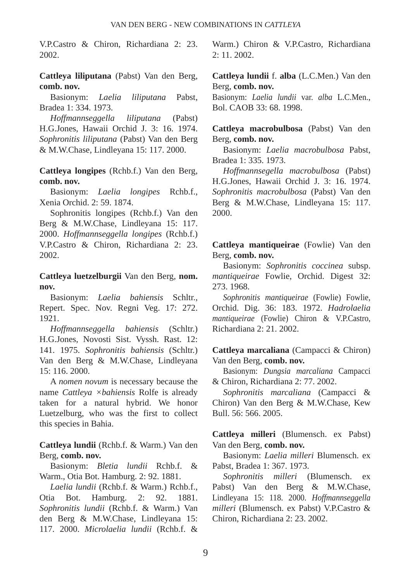V.P.Castro & Chiron, Richardiana 2: 23. 2002.

**Cattleya liliputana** (Pabst) Van den Berg, **comb. nov.**

Basionym: *Laelia liliputana* Pabst, Bradea 1: 334. 1973.

*Hoffmannseggella liliputana* (Pabst) H.G.Jones, Hawaii Orchid J. 3: 16. 1974. *Sophronitis liliputana* (Pabst) Van den Berg & M.W.Chase, Lindleyana 15: 117. 2000.

**Cattleya longipes** (Rchb.f.) Van den Berg, **comb. nov.**

Basionym: *Laelia longipes* Rchb.f., Xenia Orchid. 2: 59. 1874.

Sophronitis longipes (Rchb.f.) Van den Berg & M.W.Chase, Lindleyana 15: 117. 2000. *Hoffmannseggella longipes* (Rchb.f.) V.P.Castro & Chiron, Richardiana 2: 23. 2002.

**Cattleya luetzelburgii** Van den Berg, **nom. nov.**

Basionym: *Laelia bahiensis* Schltr., Repert. Spec. Nov. Regni Veg. 17: 272. 1921.

*Hoffmannseggella bahiensis* (Schltr.) H.G.Jones, Novosti Sist. Vyssh. Rast. 12: 141. 1975. *Sophronitis bahiensis* (Schltr.) Van den Berg & M.W.Chase, Lindleyana 15: 116. 2000.

A *nomen novum* is necessary because the name *Cattleya ×bahiensis* Rolfe is already taken for a natural hybrid. We honor Luetzelburg, who was the first to collect this species in Bahia.

**Cattleya lundii** (Rchb.f. & Warm.) Van den Berg, **comb. nov.**

Basionym: *Bletia lundii* Rchb.f. & Warm., Otia Bot. Hamburg. 2: 92. 1881.

*Laelia lundii* (Rchb.f. & Warm.) Rchb.f., Otia Bot. Hamburg. 2: 92. 1881. *Sophronitis lundii* (Rchb.f. & Warm.) Van den Berg & M.W.Chase, Lindleyana 15: 117. 2000. *Microlaelia lundii* (Rchb.f. &

Warm.) Chiron & V.P.Castro, Richardiana 2: 11. 2002.

**Cattleya lundii** f. **alba** (L.C.Men.) Van den Berg, **comb. nov.**

Basionym: *Laelia lundii* var. *alba* L.C.Men., Bol. CAOB 33: 68. 1998.

**Cattleya macrobulbosa** (Pabst) Van den Berg, **comb. nov.**

Basionym: *Laelia macrobulbosa* Pabst, Bradea 1: 335. 1973.

*Hoffmannsegella macrobulbosa* (Pabst) H.G.Jones, Hawaii Orchid J. 3: 16. 1974. *Sophronitis macrobulbosa* (Pabst) Van den Berg & M.W.Chase, Lindleyana 15: 117. 2000.

**Cattleya mantiqueirae** (Fowlie) Van den Berg, **comb. nov.**

Basionym: *Sophronitis coccinea* subsp. *mantiqueirae* Fowlie, Orchid. Digest 32: 273. 1968.

*Sophronitis mantiqueirae* (Fowlie) Fowlie, Orchid. Dig. 36: 183. 1972. *Hadrolaelia mantiqueirae* (Fowlie) Chiron & V.P.Castro, Richardiana 2: 21. 2002.

**Cattleya marcaliana** (Campacci & Chiron) Van den Berg, **comb. nov.**

Basionym: *Dungsia marcaliana* Campacci & Chiron, Richardiana 2: 77. 2002.

*Sophronitis marcaliana* (Campacci & Chiron) Van den Berg & M.W.Chase, Kew Bull. 56: 566. 2005.

**Cattleya milleri** (Blumensch. ex Pabst) Van den Berg, **comb. nov.**

Basionym: *Laelia milleri* Blumensch. ex Pabst, Bradea 1: 367. 1973.

*Sophronitis milleri* (Blumensch. ex Pabst) Van den Berg & M.W.Chase, Lindleyana 15: 118. 2000. *Hoffmannseggella milleri* (Blumensch. ex Pabst) V.P.Castro & Chiron, Richardiana 2: 23. 2002.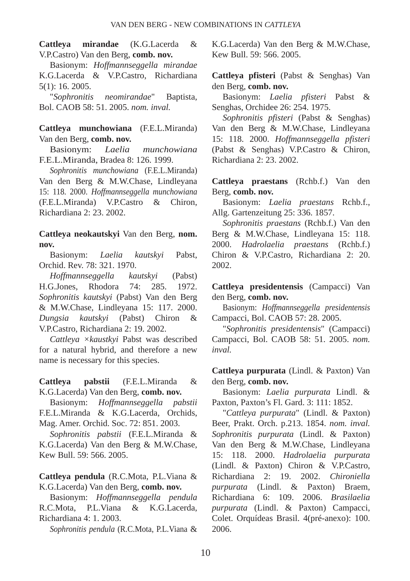**Cattleya mirandae** (K.G.Lacerda & V.P.Castro) Van den Berg, **comb. nov.**

Basionym: *Hoffmannseggella mirandae* K.G.Lacerda & V.P.Castro, Richardiana 5(1): 16. 2005.

"*Sophronitis neomirandae*" Baptista, Bol. CAOB 58: 51. 2005. *nom. inval.*

**Cattleya munchowiana** (F.E.L.Miranda) Van den Berg, **comb. nov.**

Basionym: *Laelia munchowiana* F.E.L.Miranda, Bradea 8: 126. 1999.

*Sophronitis munchowiana* (F.E.L.Miranda) Van den Berg & M.W.Chase, Lindleyana 15: 118. 2000. *Hoffmannseggella munchowiana* (F.E.L.Miranda) V.P.Castro & Chiron, Richardiana 2: 23. 2002.

**Cattleya neokautskyi** Van den Berg, **nom. nov.**

Basionym: *Laelia kautskyi* Pabst, Orchid. Rev. 78: 321. 1970.

*Hoffmannseggella kautskyi* (Pabst) H.G.Jones, Rhodora 74: 285. 1972. *Sophronitis kautskyi* (Pabst) Van den Berg & M.W.Chase, Lindleyana 15: 117. 2000. *Dungsia kautskyi* (Pabst) Chiron & V.P.Castro, Richardiana 2: 19. 2002.

*Cattleya ×kaustkyi* Pabst was described for a natural hybrid, and therefore a new name is necessary for this species.

**Cattleya pabstii** (F.E.L.Miranda & K.G.Lacerda) Van den Berg, **comb. nov.**

Basionym: *Hoffmannseggella pabstii* F.E.L.Miranda & K.G.Lacerda, Orchids, Mag. Amer. Orchid. Soc. 72: 851. 2003.

*Sophronitis pabstii* (F.E.L.Miranda & K.G.Lacerda) Van den Berg & M.W.Chase, Kew Bull. 59: 566. 2005.

**Cattleya pendula** (R.C.Mota, P.L.Viana & K.G.Lacerda) Van den Berg, **comb. nov.**

Basionym: *Hoffmannseggella pendula* R.C.Mota, P.L.Viana & K.G.Lacerda, Richardiana 4: 1. 2003.

*Sophronitis pendula* (R.C.Mota, P.L.Viana &

K.G.Lacerda) Van den Berg & M.W.Chase, Kew Bull. 59: 566. 2005.

**Cattleya pfisteri** (Pabst & Senghas) Van den Berg, **comb. nov.**

Basionym: *Laelia pfisteri* Pabst & Senghas, Orchidee 26: 254. 1975.

*Sophronitis pfisteri* (Pabst & Senghas) Van den Berg & M.W.Chase, Lindleyana 15: 118. 2000. *Hoffmannseggella pfisteri* (Pabst & Senghas) V.P.Castro & Chiron, Richardiana 2: 23. 2002.

**Cattleya praestans** (Rchb.f.) Van den Berg, **comb. nov.**

Basionym: *Laelia praestans* Rchb.f., Allg. Gartenzeitung 25: 336. 1857.

*Sophronitis praestans* (Rchb.f.) Van den Berg & M.W.Chase, Lindleyana 15: 118. 2000. *Hadrolaelia praestans* (Rchb.f.) Chiron & V.P.Castro, Richardiana 2: 20. 2002.

**Cattleya presidentensis** (Campacci) Van den Berg, **comb. nov.**

Basionym: *Hoffmannseggella presidentensis* Campacci, Bol. CAOB 57: 28. 2005.

"*Sophronitis presidentensis*" (Campacci) Campacci, Bol. CAOB 58: 51. 2005. *nom. inval.*

**Cattleya purpurata** (Lindl. & Paxton) Van den Berg, **comb. nov.**

Basionym: *Laelia purpurata* Lindl. & Paxton, Paxton's Fl. Gard. 3: 111: 1852.

"*Cattleya purpurata*" (Lindl. & Paxton) Beer, Prakt. Orch. p.213. 1854. *nom. inval. Sophronitis purpurata* (Lindl. & Paxton) Van den Berg & M.W.Chase, Lindleyana 15: 118. 2000. *Hadrolaelia purpurata* (Lindl. & Paxton) Chiron & V.P.Castro, Richardiana 2: 19. 2002. *Chironiella purpurata* (Lindl. & Paxton) Braem, Richardiana 6: 109. 2006. *Brasilaelia purpurata* (Lindl. & Paxton) Campacci, Colet. Orquídeas Brasil. 4(pré-anexo): 100. 2006.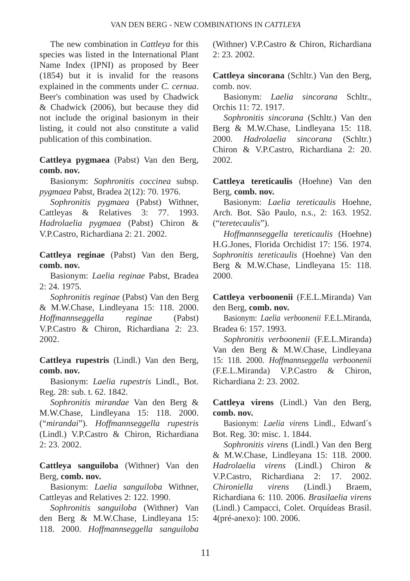The new combination in *Cattleya* for this species was listed in the International Plant Name Index (IPNI) as proposed by Beer (1854) but it is invalid for the reasons explained in the comments under *C. cernua*. Beer's combination was used by Chadwick & Chadwick (2006), but because they did not include the original basionym in their listing, it could not also constitute a valid publication of this combination.

**Cattleya pygmaea** (Pabst) Van den Berg, **comb. nov.**

Basionym: *Sophronitis coccinea* subsp. *pygmaea* Pabst, Bradea 2(12): 70. 1976.

*Sophronitis pygmaea* (Pabst) Withner, Cattleyas & Relatives 3: 77. 1993. *Hadrolaelia pygmaea* (Pabst) Chiron & V.P.Castro, Richardiana 2: 21. 2002.

**Cattleya reginae** (Pabst) Van den Berg, **comb. nov.**

Basionym: *Laelia reginae* Pabst, Bradea 2: 24. 1975.

*Sophronitis reginae* (Pabst) Van den Berg & M.W.Chase, Lindleyana 15: 118. 2000. *Hoffmannseggella reginae* (Pabst) V.P.Castro & Chiron, Richardiana 2: 23. 2002.

**Cattleya rupestris** (Lindl.) Van den Berg, **comb. nov.**

Basionym: *Laelia rupestris* Lindl., Bot. Reg. 28: sub. t. 62. 1842.

*Sophronitis mirandae* Van den Berg & M.W.Chase, Lindleyana 15: 118. 2000. ("*mirandai*"). *Hoffmannseggella rupestris* (Lindl.) V.P.Castro & Chiron, Richardiana 2: 23. 2002.

**Cattleya sanguiloba** (Withner) Van den Berg, **comb. nov.**

Basionym: *Laelia sanguiloba* Withner, Cattleyas and Relatives 2: 122. 1990.

*Sophronitis sanguiloba* (Withner) Van den Berg & M.W.Chase, Lindleyana 15: 118. 2000. *Hoffmannseggella sanguiloba* (Withner) V.P.Castro & Chiron, Richardiana 2: 23. 2002.

**Cattleya sincorana** (Schltr.) Van den Berg, comb. nov.

Basionym: *Laelia sincorana* Schltr., Orchis 11: 72. 1917.

*Sophronitis sincorana* (Schltr.) Van den Berg & M.W.Chase, Lindleyana 15: 118. 2000. *Hadrolaelia sincorana* (Schltr.) Chiron & V.P.Castro, Richardiana 2: 20. 2002.

**Cattleya tereticaulis** (Hoehne) Van den Berg, **comb. nov.**

Basionym: *Laelia tereticaulis* Hoehne, Arch. Bot. São Paulo, n.s., 2: 163. 1952. ("*teretecaulis*").

*Hoffmannseggella tereticaulis* (Hoehne) H.G.Jones, Florida Orchidist 17: 156. 1974. *Sophronitis tereticaulis* (Hoehne) Van den Berg & M.W.Chase, Lindleyana 15: 118. 2000.

**Cattleya verboonenii** (F.E.L.Miranda) Van den Berg, **comb. nov.**

Basionym: *Laelia verboonenii* F.E.L.Miranda, Bradea 6: 157. 1993.

*Sophronitis verboonenii* (F.E.L.Miranda) Van den Berg & M.W.Chase, Lindleyana 15: 118. 2000. *Hoffmannseggella verboonenii* (F.E.L.Miranda) V.P.Castro & Chiron, Richardiana 2: 23. 2002.

**Cattleya virens** (Lindl.) Van den Berg, **comb. nov.**

Basionym: *Laelia virens* Lindl., Edward´s Bot. Reg. 30: misc. 1. 1844.

*Sophronitis virens* (Lindl.) Van den Berg & M.W.Chase, Lindleyana 15: 118. 2000. *Hadrolaelia virens* (Lindl.) Chiron & V.P.Castro, Richardiana 2: 17. 2002. *Chironiella virens* (Lindl.) Braem, Richardiana 6: 110. 2006. *Brasilaelia virens* (Lindl.) Campacci, Colet. Orquídeas Brasil. 4(pré-anexo): 100. 2006.